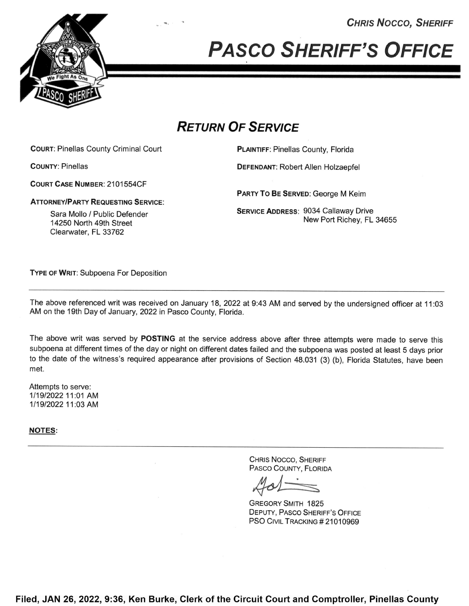**CHRIS NOCCO, SHERIFF** 



PASCO SHERIFF'S OFFICE

## RETURN OF SERVICE

COURT: Pinellas County Criminal Court **PLAINTIFF: Pinellas County, Florida** 

COURT CASE NUMBER: 2101554CF

ATTORNEY/PARTY REQUESTING SERVICE:

Clearwater, FL 33762

COUNTY: Pinellas DEFENDANT: Robert Allen Holzaepfel

PARTY To BE SERVED: George M Keim

Sara Mollo / Public Defender **SERVICE ADDRESS: 9034 Callaway Drive** Service ADDRESS: 9034 Callaway Drive edia Molio 71 dblid Belender<br>14250 North 49th Street New Port Richey, FL 34655

TYPE 0F WRIT: Subpoena For Deposition

The above referenced writ was received on January 18, 2022 at 9:43 AM and served by the undersigned officer at 11:03 AM on the 19th Day of January, 2022 in Pasco County, Florida.

The above writ was served by POSTING at the service address above after three attempts were made to serve this subpoena at different times of the day or night on different dates failed and the subpoena was posted at least <sup>5</sup> days prior to the date of the witness's required appearance after provisions of Section 48.031 (3) (b), Florida Statutes, have been met.

Attempts to serve: 1/19/2022 11:01 AM 1/19/2022 11:03 AM

NOTES:

CHRIS Nocco, SHERIFF PAsco COUNTY, FLORIDA

GREGORY SMITH 1825 DEPUTY, PAsco SHERIFF'S OFFICE PSO CIVIL TRACKING #21010969

Filed, JAN 26, 2022, 9:36, Ken Burke, Clerk of the Circuit Court and Comptroller, Pinellas County